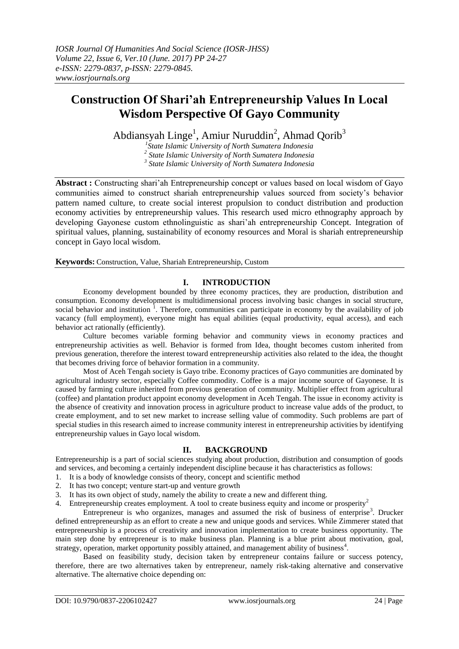# **Construction Of Shari'ah Entrepreneurship Values In Local Wisdom Perspective Of Gayo Community**

Abdiansyah Linge<sup>1</sup>, Amiur Nuruddin<sup>2</sup>, Ahmad Qorib<sup>3</sup>

*1 State Islamic University of North Sumatera Indonesia 2 State Islamic University of North Sumatera Indonesia 3 State Islamic University of North Sumatera Indonesia*

**Abstract :** Constructing shari'ah Entrepreneurship concept or values based on local wisdom of Gayo communities aimed to construct shariah entrepreneurship values sourced from society's behavior pattern named culture, to create social interest propulsion to conduct distribution and production economy activities by entrepreneurship values. This research used micro ethnography approach by developing Gayonese custom ethnolinguistic as shari'ah entrepreneurship Concept. Integration of spiritual values, planning, sustainability of economy resources and Moral is shariah entrepreneurship concept in Gayo local wisdom.

**Keywords:** Construction, Value, Shariah Entrepreneurship, Custom

# **I. INTRODUCTION**

Economy development bounded by three economy practices, they are production, distribution and consumption. Economy development is multidimensional process involving basic changes in social structure, social behavior and institution  $<sup>1</sup>$ . Therefore, communities can participate in economy by the availability of job</sup> vacancy (full employment), everyone might has equal abilities (equal productivity, equal access), and each behavior act rationally (efficiently).

Culture becomes variable forming behavior and community views in economy practices and entrepreneurship activities as well. Behavior is formed from Idea, thought becomes custom inherited from previous generation, therefore the interest toward entrepreneurship activities also related to the idea, the thought that becomes driving force of behavior formation in a community.

Most of Aceh Tengah society is Gayo tribe. Economy practices of Gayo communities are dominated by agricultural industry sector, especially Coffee commodity. Coffee is a major income source of Gayonese. It is caused by farming culture inherited from previous generation of community. Multiplier effect from agricultural (coffee) and plantation product appoint economy development in Aceh Tengah. The issue in economy activity is the absence of creativity and innovation process in agriculture product to increase value adds of the product, to create employment, and to set new market to increase selling value of commodity. Such problems are part of special studies in this research aimed to increase community interest in entrepreneurship activities by identifying entrepreneurship values in Gayo local wisdom.

## **II. BACKGROUND**

Entrepreneurship is a part of social sciences studying about production, distribution and consumption of goods and services, and becoming a certainly independent discipline because it has characteristics as follows:

- 1. It is a body of knowledge consists of theory, concept and scientific method
- 2. It has two concept; venture start-up and venture growth
- 3. It has its own object of study, namely the ability to create a new and different thing.
- 4. Entrepreneurship creates employment. A tool to create business equity and income or prosperity<sup>2</sup>

Entrepreneur is who organizes, manages and assumed the risk of business of enterprise<sup>3</sup>. Drucker defined entrepreneurship as an effort to create a new and unique goods and services. While Zimmerer stated that entrepreneurship is a process of creativity and innovation implementation to create business opportunity. The main step done by entrepreneur is to make business plan. Planning is a blue print about motivation, goal, strategy, operation, market opportunity possibly attained, and management ability of business<sup>4</sup>.

Based on feasibility study, decision taken by entrepreneur contains failure or success potency, therefore, there are two alternatives taken by entrepreneur, namely risk-taking alternative and conservative alternative. The alternative choice depending on: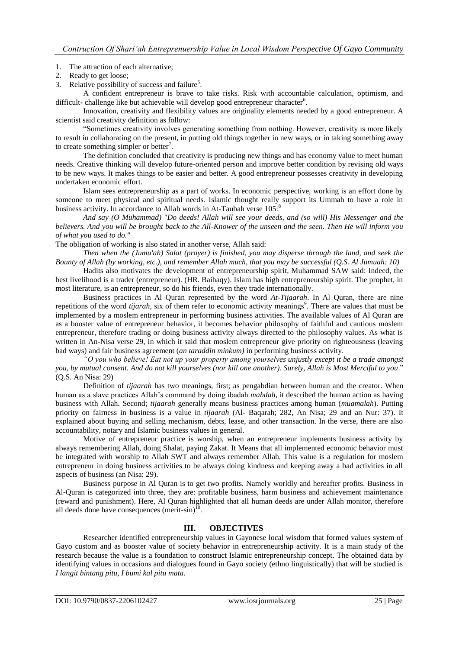#### 1. The attraction of each alternative;

- 2. Ready to get loose;
- 3. Relative possibility of success and failure<sup>5</sup>.

A confident entrepreneur is brave to take risks. Risk with accountable calculation, optimism, and difficult- challenge like but achievable will develop good entrepreneur character<sup>6</sup>.

Innovation, creativity and flexibility values are originality elements needed by a good entrepreneur. A scientist said creativity definition as follow:

"Sometimes creativity involves generating something from nothing. However, creativity is more likely to result in collaborating on the present, in putting old things together in new ways, or in taking something away to create something simpler or better<sup>7</sup>.

The definition concluded that creativity is producing new things and has economy value to meet human needs. Creative thinking will develop future-oriented person and improve better condition by revising old ways to be new ways. It makes things to be easier and better. A good entrepreneur possesses creativity in developing undertaken economic effort.

Islam sees entrepreneurship as a part of works. In economic perspective, working is an effort done by someone to meet physical and spiritual needs. Islamic thought really support its Ummah to have a role in business activity. In accordance to Allah words in At-Taubah verse  $105$ .<sup>8</sup>

*And say (O Muhammad) "Do deeds! Allah will see your deeds, and (so will) His Messenger and the believers. And you will be brought back to the All-Knower of the unseen and the seen. Then He will inform you of what you used to do."*

The obligation of working is also stated in another verse, Allah said:

*Then when the (Jumu'ah) Salat (prayer) is finished, you may disperse through the land, and seek the Bounty of Allah (by working, etc.), and remember Allah much, that you may be successful (Q.S. Al Jumuah: 10)*

Hadits also motivates the development of entrepreneurship spirit, Muhammad SAW said: Indeed, the best livelihood is a trader (entrepreneur). (HR. Baihaqy). Islam has high entrepreneurship spirit. The prophet, in most literature, is an entrepreneur, so do his friends, even they trade internationally.

Business practices in Al Quran represented by the word *At-Tijaarah*. In Al Quran, there are nine repetitions of the word *tijarah*, six of them refer to economic activity meanings<sup>9</sup>. There are values that must be implemented by a moslem entrepreneur in performing business activities. The available values of Al Quran are as a booster value of entrepreneur behavior, it becomes behavior philosophy of faithful and cautious moslem entrepreneur, therefore trading or doing business activity always directed to the philosophy values. As what is written in An-Nisa verse 29, in which it said that moslem entrepreneur give priority on righteousness (leaving bad ways) and fair business agreement (*an taraddin minkum)* in performing business activity.

*"O you who believe! Eat not up your property among yourselves unjustly except it be a trade amongst you, by mutual consent. And do not kill yourselves (nor kill one another). Surely, Allah is Most Merciful to you*." (Q.S. An Nisa: 29)

Definition of *tijaarah* has two meanings, first; as pengabdian between human and the creator. When human as a slave practices Allah's command by doing ibadah *mahdah,* it described the human action as having business with Allah. Second; *tijaarah* generally means business practices among human (*muamalah*). Putting priority on fairness in business is a value in *tijaarah* (Al- Baqarah; 282, An Nisa; 29 and an Nur: 37). It explained about buying and selling mechanism, debts, lease, and other transaction. In the verse, there are also accountability, notary and Islamic business values in general.

Motive of entrepreneur practice is worship, when an entrepreneur implements business activity by always remembering Allah, doing Shalat, paying Zakat. It Means that all implemented economic behavior must be integrated with worship to Allah SWT and always remember Allah. This value is a regulation for moslem entrepreneur in doing business activities to be always doing kindness and keeping away a bad activities in all aspects of business (an Nisa: 29).

Business purpose in Al Quran is to get two profits. Namely worldly and hereafter profits. Business in Al-Quran is categorized into three, they are: profitable business, harm business and achievement maintenance (reward and punishment). Here, Al Quran highlighted that all human deeds are under Allah monitor, therefore all deeds done have consequences  $(merit-sin)^{10}$ .

# **III. OBJECTIVES**

Researcher identified entrepreneurship values in Gayonese local wisdom that formed values system of Gayo custom and as booster value of society behavior in entrepreneurship activity. It is a main study of the research because the value is a foundation to construct Islamic entrepreneurship concept. The obtained data by identifying values in occasions and dialogues found in Gayo society (ethno linguistically) that will be studied is *I langit bintang pitu, I bumi kal pitu mata.*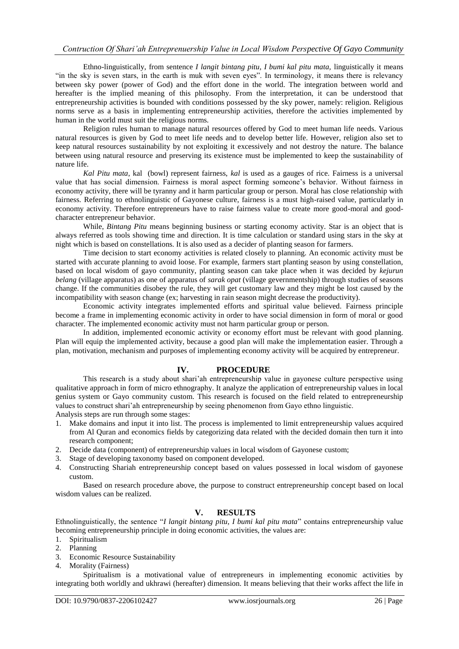Ethno-linguistically, from sentence *I langit bintang pitu, I bumi kal pitu mata,* linguistically it means "in the sky is seven stars, in the earth is muk with seven eyes". In terminology, it means there is relevancy between sky power (power of God) and the effort done in the world. The integration between world and hereafter is the implied meaning of this philosophy. From the interpretation, it can be understood that entrepreneurship activities is bounded with conditions possessed by the sky power, namely: religion. Religious norms serve as a basis in implementing entrepreneurship activities, therefore the activities implemented by human in the world must suit the religious norms.

Religion rules human to manage natural resources offered by God to meet human life needs. Various natural resources is given by God to meet life needs and to develop better life. However, religion also set to keep natural resources sustainability by not exploiting it excessively and not destroy the nature. The balance between using natural resource and preserving its existence must be implemented to keep the sustainability of nature life.

*Kal Pitu mata*, kal (bowl) represent fairness, *kal* is used as a gauges of rice. Fairness is a universal value that has social dimension. Fairness is moral aspect forming someone's behavior. Without fairness in economy activity, there will be tyranny and it harm particular group or person. Moral has close relationship with fairness. Referring to ethnolinguistic of Gayonese culture, fairness is a must high-raised value, particularly in economy activity. Therefore entrepreneurs have to raise fairness value to create more good-moral and goodcharacter entrepreneur behavior.

While, *Bintang Pitu* means beginning business or starting economy activity. Star is an object that is always referred as tools showing time and direction. It is time calculation or standard using stars in the sky at night which is based on constellations. It is also used as a decider of planting season for farmers.

Time decision to start economy activities is related closely to planning. An economic activity must be started with accurate planning to avoid loose. For example, farmers start planting season by using constellation, based on local wisdom of gayo community, planting season can take place when it was decided by *kejurun belang* (village apparatus) as one of apparatus of *sarak opat* (village gevernmentship) through studies of seasons change. If the communities disobey the rule, they will get customary law and they might be lost caused by the incompatibility with season change (ex; harvesting in rain season might decrease the productivity).

Economic activity integrates implemented efforts and spiritual value believed. Fairness principle become a frame in implementing economic activity in order to have social dimension in form of moral or good character. The implemented economic activity must not harm particular group or person.

In addition, implemented economic activity or economy effort must be relevant with good planning. Plan will equip the implemented activity, because a good plan will make the implementation easier. Through a plan, motivation, mechanism and purposes of implementing economy activity will be acquired by entrepreneur.

# **IV. PROCEDURE**

This research is a study about shari'ah entrepreneurship value in gayonese culture perspective using qualitative approach in form of micro ethnography. It analyze the application of entrepreneurship values in local genius system or Gayo community custom. This research is focused on the field related to entrepreneurship values to construct shari'ah entrepreneurship by seeing phenomenon from Gayo ethno linguistic. Analysis steps are run through some stages:

- 1. Make domains and input it into list. The process is implemented to limit entrepreneurship values acquired from Al Quran and economics fields by categorizing data related with the decided domain then turn it into research component;
- 2. Decide data (component) of entrepreneurship values in local wisdom of Gayonese custom;
- 3. Stage of developing taxonomy based on component developed.
- 4. Constructing Shariah entrepreneurship concept based on values possessed in local wisdom of gayonese custom.

Based on research procedure above, the purpose to construct entrepreneurship concept based on local wisdom values can be realized.

## **V. RESULTS**

Ethnolinguistically, the sentence "*I langit bintang pitu, I bumi kal pitu mata*" contains entrepreneurship value becoming entrepreneurship principle in doing economic activities, the values are:

- 1. Spiritualism
- 2. Planning
- 3. Economic Resource Sustainability
- 4. Morality (Fairness)

Spiritualism is a motivational value of entrepreneurs in implementing economic activities by integrating both worldly and ukhrawi (hereafter) dimension. It means believing that their works affect the life in